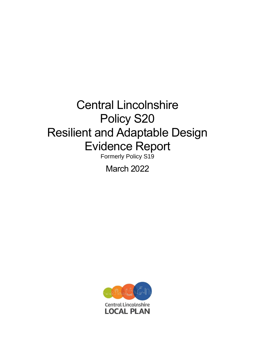# Central Lincolnshire Policy S20 Resilient and Adaptable Design Evidence Report

Formerly Policy S19

March 2022

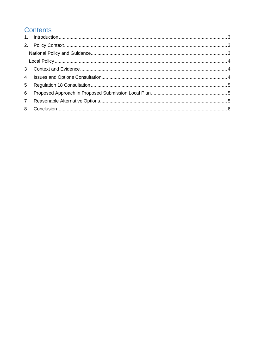# **Contents**

| 3 <sup>1</sup>  |  |
|-----------------|--|
| $\overline{4}$  |  |
| 5 <sup>5</sup>  |  |
| $6^{\circ}$     |  |
| $7\overline{ }$ |  |
|                 |  |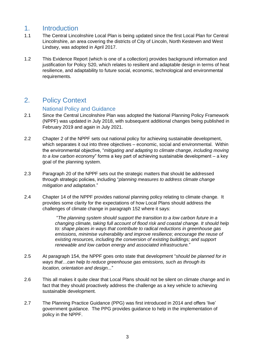## <span id="page-2-0"></span>1. Introduction

- 1.1 The Central Lincolnshire Local Plan is being updated since the first Local Plan for Central Lincolnshire, an area covering the districts of City of Lincoln, North Kesteven and West Lindsey, was adopted in April 2017.
- 1.2 This Evidence Report (which is one of a collection) provides background information and justification for Policy S20, which relates to resilient and adaptable design in terms of heat resilience, and adaptability to future social, economic, technological and environmental requirements.

# <span id="page-2-1"></span>2. Policy Context

#### National Policy and Guidance

- <span id="page-2-2"></span>2.1 Since the Central Lincolnshire Plan was adopted the National Planning Policy Framework (NPPF) was updated in July 2018, with subsequent additional changes being published in February 2019 and again in July 2021.
- 2.2 Chapter 2 of the NPPF sets out national policy for achieving sustainable development, which separates it out into three objectives – economic, social and environmental. Within the environmental objective, "*mitigating and adapting to climate change, including moving to a low carbon economy*" forms a key part of achieving sustainable development – a key goal of the planning system.
- 2.3 Paragraph 20 of the NPPF sets out the strategic matters that should be addressed through strategic policies, including "*planning measures to address climate change mitigation and adaptation*."
- 2.4 Chapter 14 of the NPPF provides national planning policy relating to climate change. It provides some clarity for the expectations of how Local Plans should address the challenges of climate change in paragraph 152 where it says:

"*The planning system should support the transition to a low carbon future in a changing climate, taking full account of flood risk and coastal change. It should help to: shape places in ways that contribute to radical reductions in greenhouse gas emissions, minimise vulnerability and improve resilience; encourage the reuse of existing resources, including the conversion of existing buildings; and support renewable and low carbon energy and associated infrastructure.*"

- 2.5 At paragraph 154, the NPPF goes onto state that development "*should be planned for in ways that…can help to reduce greenhouse gas emissions, such as through its location, orientation and design...*"
- 2.6 This all makes it quite clear that Local Plans should not be silent on climate change and in fact that they should proactively address the challenge as a key vehicle to achieving sustainable development.
- 2.7 The Planning Practice Guidance (PPG) was first introduced in 2014 and offers 'live' government guidance. The PPG provides guidance to help in the implementation of policy in the NPPF.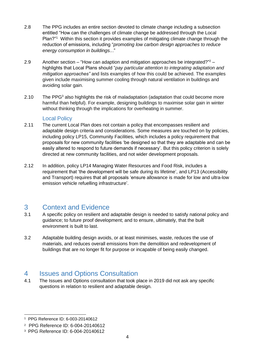- 2.8 The PPG includes an entire section devoted to climate change including a subsection entitled "How can the challenges of climate change be addressed through the Local Plan?"<sup>1</sup> Within this section it provides examples of mitigating climate change through the reduction of emissions, including "*promoting low carbon design approaches to reduce energy consumption in buildings..*."
- 2.9 Another section "How can adaption and mitigation approaches be integrated?"<sup>2</sup> highlights that Local Plans should "*pay particular attention to integrating adaptation and mitigation approaches"* and lists examples of how this could be achieved. The examples given include maximising summer cooling through natural ventilation in buildings and avoiding solar gain.
- 2.10 The PPG<sup>3</sup> also highlights the risk of maladaptation (adaptation that could become more harmful than helpful). For example, designing buildings to maximise solar gain in winter without thinking through the implications for overheating in summer.

#### Local Policy

- <span id="page-3-0"></span>2.11 The current Local Plan does not contain a policy that encompasses resilient and adaptable design criteria and considerations. Some measures are touched on by policies, including policy LP15, Community Facilities, which includes a policy requirement that proposals for new community facilities 'be designed so that they are adaptable and can be easily altered to respond to future demands if necessary'. But this policy criterion is solely directed at new community facilities, and not wider development proposals.
- 2.12 In addition, policy LP14 Managing Water Resources and Food Risk, includes a requirement that 'the development will be safe during its lifetime', and LP13 (Accessibility and Transport) requires that all proposals 'ensure allowance is made for low and ultra-low emission vehicle refuelling infrastructure'.

#### <span id="page-3-1"></span>3 Context and Evidence

- 3.1 A specific policy on resilient and adaptable design is needed to satisfy national policy and guidance; to future proof development; and to ensure, ultimately, that the built environment is built to last.
- 3.2 Adaptable building design avoids, or at least minimises, waste, reduces the use of materials, and reduces overall emissions from the demolition and redevelopment of buildings that are no longer fit for purpose or incapable of being easily changed.

## <span id="page-3-2"></span>4 Issues and Options Consultation

4.1 The Issues and Options consultation that took place in 2019 did not ask any specific questions in relation to resilient and adaptable design.

<sup>1</sup> PPG Reference ID: 6-003-20140612

<sup>2</sup> PPG Reference ID: 6-004-20140612

<sup>3</sup> PPG Reference ID: 6-004-20140612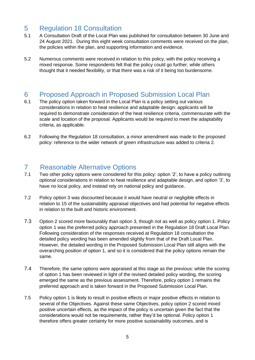## <span id="page-4-0"></span>5 Regulation 18 Consultation

- 5.1 A Consultation Draft of the Local Plan was published for consultation between 30 June and 24 August 2021. During this eight week consultation comments were received on the plan, the policies within the plan, and supporting information and evidence.
- 5.2 Numerous comments were received in relation to this policy, with the policy receiving a mixed response. Some respondents felt that the policy could go further, while others thought that it needed flexibility, or that there was a risk of it being too burdensome.

## <span id="page-4-1"></span>6 Proposed Approach in Proposed Submission Local Plan

- 6.1 The policy option taken forward in the Local Plan is a policy setting out various considerations in relation to heat resilience and adaptable design: applicants will be required to demonstrate consideration of the heat resilience criteria, commensurate with the scale and location of the proposal. Applicants would be required to meet the adaptability criteria, as applicable.
- 6.2 Following the Regulation 18 consultation, a minor amendment was made to the proposed policy: reference to the wider network of green infrastructure was added to criteria 2.

## <span id="page-4-2"></span>7 Reasonable Alternative Options

- 7.1 Two other policy options were considered for this policy: option '2', to have a policy outlining optional considerations in relation to heat resilience and adaptable design, and option '3', to have no local policy, and instead rely on national policy and guidance.
- 7.2 Policy option 3 was discounted because it would have neutral or negligible effects in relation to 15 of the sustainability appraisal objectives and had potential for negative effects in relation to the built and historic environment.
- 7.3 Option 2 scored more favourably than option 3, though not as well as policy option 1. Policy option 1 was the preferred policy approach presented in the Regulation 18 Draft Local Plan. Following consideration of the responses received at Regulation 18 consultation the detailed policy wording has been amended slightly from that of the Draft Local Plan. However, the detailed wording in the Proposed Submission Local Plan still aligns with the overarching position of option 1, and so it is considered that the policy options remain the same.
- 7.4 Therefore, the same options were appraised at this stage as the previous: while the scoring of option 1 has been reviewed in light of the revised detailed policy wording, the scoring emerged the same as the previous assessment. Therefore, policy option 1 remains the preferred approach and is taken forward in the Proposed Submission Local Plan.
- 7.5 Policy option 1 is likely to result in positive effects or major positive effects in relation to several of the Objectives. Against these same Objectives, policy option 2 scored mixed positive uncertain effects, as the impact of the policy is uncertain given the fact that the considerations would not be requirements, rather they'd be optional. Policy option 1 therefore offers greater certainty for more positive sustainability outcomes, and is